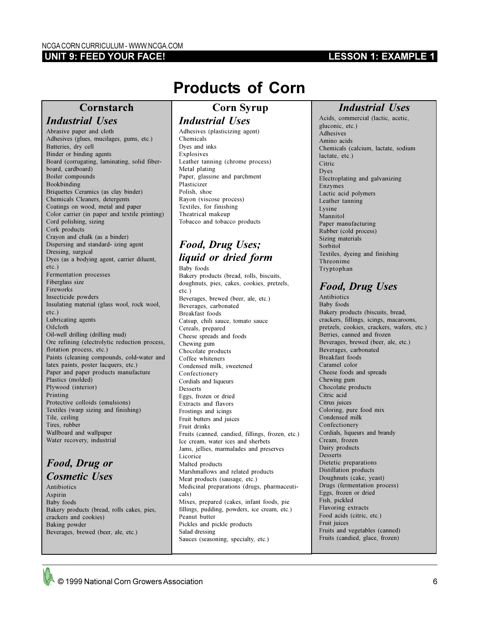#### **UNIT 9: FEED YOUR FACE!**

#### **LESSON 1: EXAMPLE 1**

## **Cornstarch**

## *Industrial Uses*

Abrasive paper and cloth Adhesives (glues, mucilages, gums, etc.) Batteries, dry cell Binder or binding agents Board (corrugating, laminating, solid fiberboard, cardboard) Boiler compounds Bookbinding Briquettes Ceramics (as clay binder) Chemicals Cleaners, detergents Coatings on wood, metal and paper Color carrier (in paper and textile printing) Cord polishing, sizing Cork products Crayon and chalk (as a binder) Dispersing and standard- izing agent Dressing, surgical Dyes (as a bodying agent, carrier diluent, etc.) Fermentation processes Fiberglass size Fireworks Insecticide powders Insulating material (glass wool, rock wool, etc.) Lubricating agents Oilcloth Oil-well drilling (drilling mud) Ore refining (electrolytic reduction process, flotation process, etc.) Paints (cleaning compounds, cold-water and latex paints, poster lacquers, etc.) Paper and paper products manufacture Plastics (molded) Plywood (interior) Printing Protective colloids (emulsions) Textiles (warp sizing and finishing) Tile, ceiling Tires, rubber Wallboard and wallpaper Water recovery, industrial

#### *Food, Drug or Cosmetic Uses*

Antibiotics Aspirin Baby foods Bakery products (bread, rolls cakes, pies, crackers and cookies) Baking powder Beverages, brewed (beer, ale, etc.)

# **Products of Corn**

### **Corn Syrup** *Industrial Uses*

Adhesives (plasticizing agent) Chemicals Dyes and inks Explosives Leather tanning (chrome process) Metal plating Paper, glassine and parchment Plasticizer Polish, shoe Rayon (viscose process) Textiles, for finishing Theatrical makeup Tobacco and tobacco products

# *Food, Drug Uses; liquid or dried form*

Baby foods Bakery products (bread, rolls, biscuits, doughnuts, pies, cakes, cookies, pretzels, etc.) Beverages, brewed (beer, ale, etc.) Beverages, carbonated Breakfast foods Catsup, chili sauce, tomato sauce Cereals, prepared Cheese spreads and foods Chewing gum Chocolate products Coffee whiteners Condensed milk, sweetened Confectionery Cordials and liqueurs Desserts Eggs, frozen or dried Extracts and flavors Frostings and icings Fruit butters and juices Fruit drinks Fruits (canned, candied, fillings, frozen, etc.) Ice cream, water ices and sherbets Jams, jellies, marmalades and preserves Licorice Malted products Marshmallows and related products Meat products (sausage, etc.) Medicinal preparations (drugs, pharmaceuticals) Mixes, prepared (cakes, infant foods, pie fillings, pudding, powders, ice cream, etc.) Peanut butter Pickles and pickle products Salad dressing Sauces (seasoning, specialty, etc.)

## *Industrial Uses*

Acids, commercial (lactic, acetic, gluconic, etc.) **Adhesives** Amino acids Chemicals (calcium, lactate, sodium lactate, etc.) Citric Dyes Electroplating and galvanizing Enzymes Lactic acid polymers Leather tanning Lysine Mannitol Paper manufacturing Rubber (cold process) Sizing materials Sorbitol Textiles, dyeing and finishing Threonime Tryptophan

## *Food, Drug Uses*

Antibiotics Baby foods Bakery products (biscuits, bread, crackers, fillings, icings, macaroons, pretzels, cookies, crackers, wafers, etc.) Berries, canned and frozen Beverages, brewed (beer, ale, etc.) Beverages, carbonated Breakfast foods Caramel color Cheese foods and spreads Chewing gum Chocolate products Citric acid Citrus juices Coloring, pure food mix Condensed milk Confectionery Cordials, liqueurs and brandy Cream, frozen Dairy products Desserts Dietetic preparations Distillation products Doughnuts (cake, yeast) Drugs (fermentation process) Eggs, frozen or dried Fish, pickled Flavoring extracts Food acids (citric, etc.) Fruit juices Fruits and vegetables (canned) Fruits (candied, glace, frozen)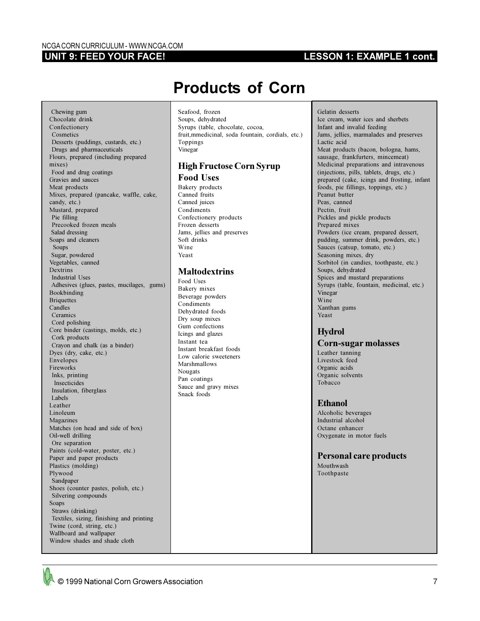#### **UNIT 9: FEED YOUR FACE!**

### **LESSON 1: EXAMPLE 1 cont.**

# **Products of Corn**

 Chewing gum Chocolate drink Confectionery Cosmetics Desserts (puddings, custards, etc.) Drugs and pharmaceuticals Flours, prepared (including prepared mixes) Food and drug coatings Gravies and sauces Meat products Mixes, prepared (pancake, waffle, cake, candy, etc.) Mustard, prepared Pie filling Precooked frozen meals Salad dressing Soaps and cleaners Soups Sugar, powdered Vegetables, canned Dextrins Industrial Uses Adhesives (glues, pastes, mucilages, gums) Bookbinding **Briquettes** Candles Ceramics Cord polishing Core binder (castings, molds, etc.) Cork products Crayon and chalk (as a binder) Dyes (dry, cake, etc.) Envelopes Fireworks Inks, printing Insecticides Insulation, fiberglass Labels Leather Linoleum Magazines Matches (on head and side of box) Oil-well drilling Ore separation Paints (cold-water, poster, etc.) Paper and paper products Plastics (molding) Plywood Sandpaper Shoes (counter pastes, polish, etc.) Silvering compounds Soaps Straws (drinking) Textiles, sizing, finishing and printing Twine (cord, string, etc.) Wallboard and wallpaper Window shades and shade cloth

Seafood, frozen Soups, dehydrated Syrups (table, chocolate, cocoa, fruit,mmedicinal, soda fountain, cordials, etc.) Toppings Vinegar

#### **High Fructose Corn Syrup Food Uses**

Bakery products Canned fruits Canned juices Condiments Confectionery products Frozen desserts Jams, jellies and preserves Soft drinks Wine Yeast

#### **Maltodextrins**

Food Uses Bakery mixes Beverage powders Condiments Dehydrated foods Dry soup mixes Gum confections Icings and glazes Instant tea Instant breakfast foods Low calorie sweeteners Marshmallows Nougats Pan coatings Sauce and gravy mixes Snack foods

Gelatin desserts Ice cream, water ices and sherbets Infant and invalid feeding Jams, jellies, marmalades and preserves Lactic acid Meat products (bacon, bologna, hams, sausage, frankfurters, mincemeat) Medicinal preparations and intravenous (injections, pills, tablets, drugs, etc.) prepared (cake, icings and frosting, infant foods, pie fillings, toppings, etc.) Peanut butter Peas, canned Pectin, fruit Pickles and pickle products Prepared mixes Powders (ice cream, prepared dessert, pudding, summer drink, powders, etc.) Sauces (catsup, tomato, etc.) Seasoning mixes, dry Sorbitol (in candies, toothpaste, etc.) Soups, dehydrated Spices and mustard preparations Syrups (table, fountain, medicinal, etc.) Vinegar Wine Xanthan gums Yeast

#### **Hydrol**

#### **Corn-sugar molasses**

Leather tanning Livestock feed Organic acids Organic solvents Tobacco

#### **Ethanol**

Alcoholic beverages Industrial alcohol Octane enhancer Oxygenate in motor fuels

**Personal care products** Mouthwash Toothpaste

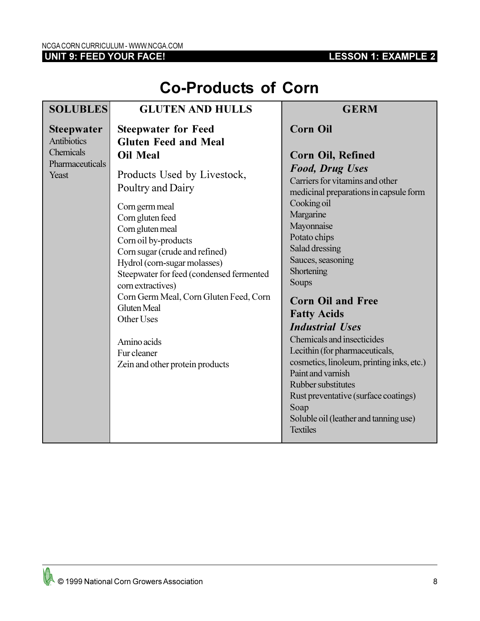## **UNIT 9: FEED YOUR FACE!**

## **LESSON 1: EXAMPLE 2**

| <b>Co-Products of Corn</b> |  |  |
|----------------------------|--|--|
|----------------------------|--|--|

| <b>SOLUBLES</b>                         | <b>GLUTEN AND HULLS</b>                                                                                                                                                                                                                                                                                                                                                                                                                 | <b>GERM</b>                                                                                                                                                                                                                                                                                                                                                                                                                                                                                                                                                                                             |
|-----------------------------------------|-----------------------------------------------------------------------------------------------------------------------------------------------------------------------------------------------------------------------------------------------------------------------------------------------------------------------------------------------------------------------------------------------------------------------------------------|---------------------------------------------------------------------------------------------------------------------------------------------------------------------------------------------------------------------------------------------------------------------------------------------------------------------------------------------------------------------------------------------------------------------------------------------------------------------------------------------------------------------------------------------------------------------------------------------------------|
| <b>Steepwater</b><br><b>Antibiotics</b> | <b>Steepwater for Feed</b><br><b>Gluten Feed and Meal</b>                                                                                                                                                                                                                                                                                                                                                                               | <b>Corn Oil</b>                                                                                                                                                                                                                                                                                                                                                                                                                                                                                                                                                                                         |
| Chemicals<br>Pharmaceuticals<br>Yeast   | <b>Oil Meal</b><br>Products Used by Livestock,<br>Poultry and Dairy<br>Corn germ meal<br>Corn gluten feed<br>Corn gluten meal<br>Corn oil by-products<br>Corn sugar (crude and refined)<br>Hydrol (corn-sugar molasses)<br>Steepwater for feed (condensed fermented<br>corn extractives)<br>Corn Germ Meal, Corn Gluten Feed, Corn<br><b>Gluten Meal</b><br>Other Uses<br>Amino acids<br>Fur cleaner<br>Zein and other protein products | <b>Corn Oil, Refined</b><br><b>Food, Drug Uses</b><br>Carriers for vitamins and other<br>medicinal preparations in capsule form<br>Cooking oil<br>Margarine<br>Mayonnaise<br>Potato chips<br>Salad dressing<br>Sauces, seasoning<br>Shortening<br>Soups<br><b>Corn Oil and Free</b><br><b>Fatty Acids</b><br><b>Industrial Uses</b><br>Chemicals and insecticides<br>Lecithin (for pharmaceuticals,<br>cosmetics, linoleum, printing inks, etc.)<br>Paint and varnish<br>Rubber substitutes<br>Rust preventative (surface coatings)<br>Soap<br>Soluble oil (leather and tanning use)<br><b>Textiles</b> |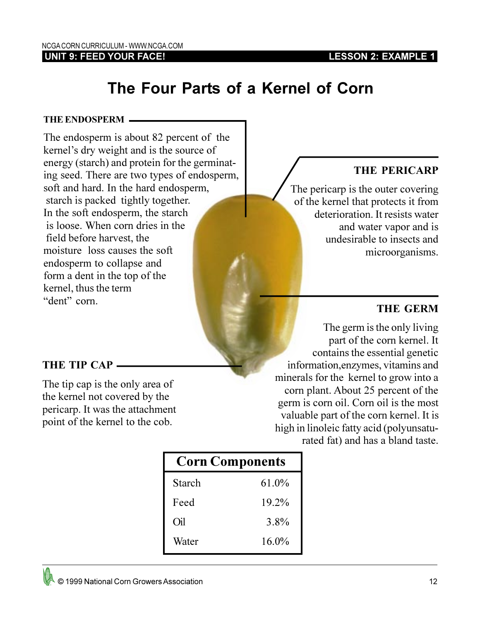### **LESSON 2: EXAMPLE 1**

### **UNIT 9: FEED YOUR FACE!**

# **The Four Parts of a Kernel of Corn**

#### **THE ENDOSPERM**

The endosperm is about 82 percent of the kernel's dry weight and is the source of energy (starch) and protein for the germinating seed. There are two types of endosperm, soft and hard. In the hard endosperm, starch is packed tightly together. In the soft endosperm, the starch is loose. When corn dries in the field before harvest, the moisture loss causes the soft endosperm to collapse and form a dent in the top of the kernel, thus the term "dent" corn

## **THE PERICARP**

 The pericarp is the outer covering of the kernel that protects it from deterioration. It resists water and water vapor and is undesirable to insects and microorganisms.

## **THE GERM**

The germ is the only living part of the corn kernel. It contains the essential genetic information,enzymes, vitamins and minerals for the kernel to grow into a corn plant. About 25 percent of the germ is corn oil. Corn oil is the most valuable part of the corn kernel. It is high in linoleic fatty acid (polyunsaturated fat) and has a bland taste.

| <b>Corn Components</b> |          |  |
|------------------------|----------|--|
| Starch                 | $61.0\%$ |  |
| Feed                   | 19.2%    |  |
| Oil                    | 3.8%     |  |
| Water                  | $16.0\%$ |  |

## **THE TIP CAP**

The tip cap is the only area of the kernel not covered by the pericarp. It was the attachment point of the kernel to the cob.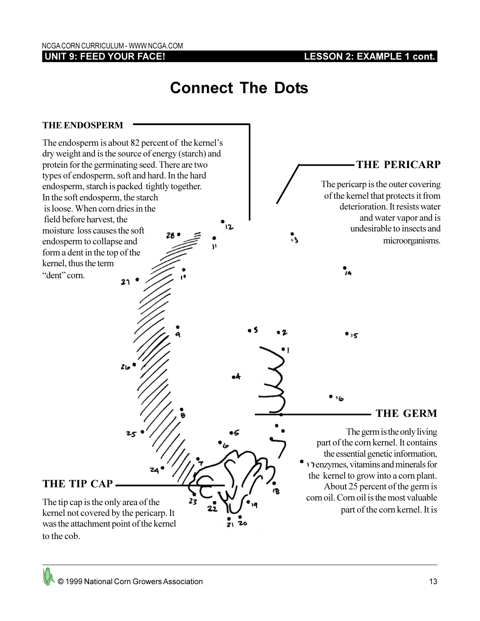**UNIT 9: FEED YOUR FACE!**

**LESSON 2: EXAMPLE 1 cont.**

# **Connect The Dots**

### **THE ENDOSPERM**

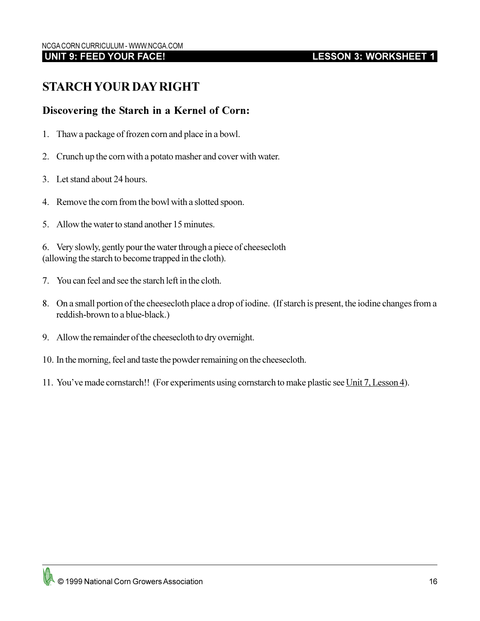# **LESSON 3: WORKSHEET 1**

# **STARCH YOUR DAY RIGHT**

## **Discovering the Starch in a Kernel of Corn:**

- 1. Thaw a package of frozen corn and place in a bowl.
- 2. Crunch up the corn with a potato masher and cover with water.
- 3. Let stand about 24 hours.
- 4. Remove the corn from the bowl with a slotted spoon.
- 5. Allow the water to stand another 15 minutes.

6. Very slowly, gently pour the water through a piece of cheesecloth (allowing the starch to become trapped in the cloth).

- 7. You can feel and see the starch left in the cloth.
- 8. On a small portion of the cheesecloth place a drop of iodine. (If starch is present, the iodine changes from a reddish-brown to a blue-black.)
- 9. Allow the remainder of the cheesecloth to dry overnight.
- 10. In the morning, feel and taste the powder remaining on the cheesecloth.
- 11. You've made cornstarch!! (For experiments using cornstarch to make plastic see Unit 7, Lesson 4).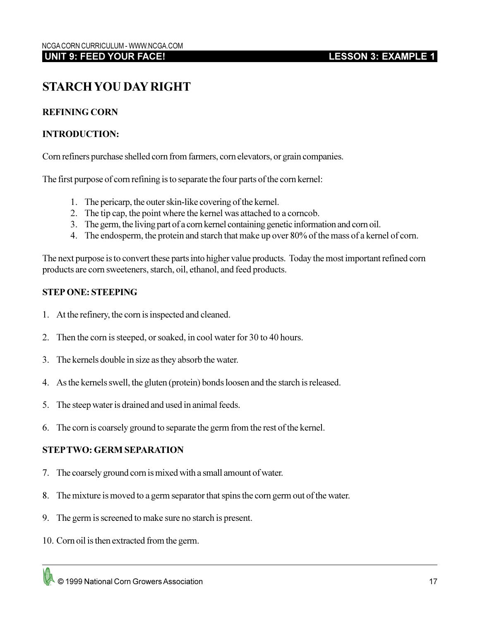# **STARCH YOU DAY RIGHT**

### **REFINING CORN**

#### **INTRODUCTION:**

Corn refiners purchase shelled corn from farmers, corn elevators, or grain companies.

The first purpose of corn refining is to separate the four parts of the corn kernel:

- 1. The pericarp, the outer skin-like covering of the kernel.
- 2. The tip cap, the point where the kernel was attached to a corncob.
- 3. The germ, the living part of a corn kernel containing genetic information and corn oil.
- 4. The endosperm, the protein and starch that make up over 80% of the mass of a kernel of corn.

The next purpose is to convert these parts into higher value products. Today the most important refined corn products are corn sweeteners, starch, oil, ethanol, and feed products.

#### **STEP ONE: STEEPING**

- 1. At the refinery, the corn is inspected and cleaned.
- 2. Then the corn is steeped, or soaked, in cool water for 30 to 40 hours.
- 3. The kernels double in size as they absorb the water.
- 4. As the kernels swell, the gluten (protein) bonds loosen and the starch is released.
- 5. The steep water is drained and used in animal feeds.
- 6. The corn is coarsely ground to separate the germ from the rest of the kernel.

#### **STEP TWO: GERM SEPARATION**

- 7. The coarsely ground corn is mixed with a small amount of water.
- 8. The mixture is moved to a germ separator that spins the corn germ out of the water.
- 9. The germ is screened to make sure no starch is present.
- 10. Corn oil is then extracted from the germ.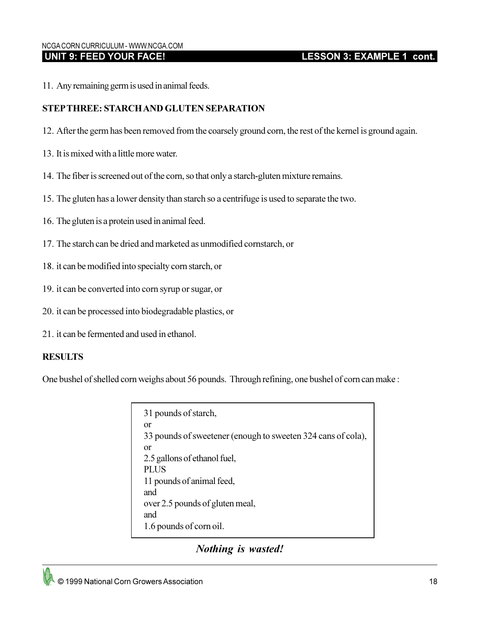#### NCGA CORN CURRICULUM - WWW.NCGA.COM  **UNIT 9: FEED YOUR FACE!**

## **LESSON 3: EXAMPLE 1 cont.**

11. Any remaining germ is used in animal feeds.

#### **STEP THREE: STARCH AND GLUTEN SEPARATION**

- 12. After the germ has been removed from the coarsely ground corn, the rest of the kernel is ground again.
- 13. It is mixed with a little more water.
- 14. The fiber is screened out of the corn, so that only a starch-gluten mixture remains.
- 15. The gluten has a lower density than starch so a centrifuge is used to separate the two.
- 16. The gluten is a protein used in animal feed.
- 17. The starch can be dried and marketed as unmodified cornstarch, or
- 18. it can be modified into specialty corn starch, or
- 19. it can be converted into corn syrup or sugar, or
- 20. it can be processed into biodegradable plastics, or
- 21. it can be fermented and used in ethanol.

#### **RESULTS**

One bushel of shelled corn weighs about 56 pounds. Through refining, one bushel of corn can make :

31 pounds of starch, or 33 pounds of sweetener (enough to sweeten 324 cans of cola), or 2.5 gallons of ethanol fuel, PLUS 11 pounds of animal feed, and over 2.5 pounds of gluten meal, and 1.6 pounds of corn oil.

## *Nothing is wasted!*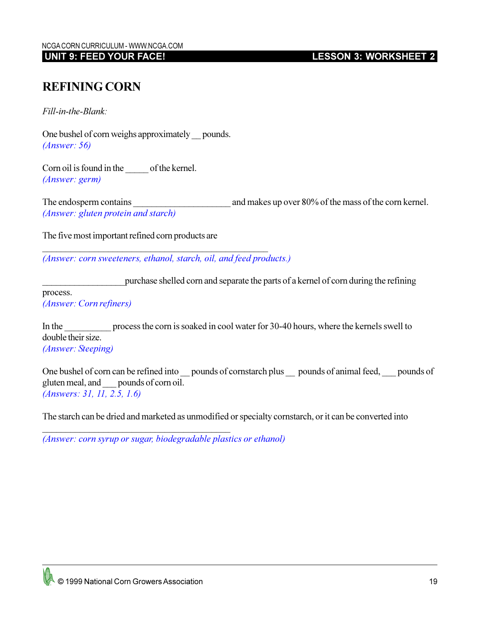**LESSON 3: WORKSHEET 2**

# **REFINING CORN**

*Fill-in-the-Blank:*

One bushel of corn weighs approximately pounds. *(Answer: 56)*

Corn oil is found in the of the kernel. *(Answer: germ)*

The endosperm contains and makes up over 80% of the mass of the corn kernel. *(Answer: gluten protein and starch)*

The five most important refined corn products are

*(Answer: corn sweeteners, ethanol, starch, oil, and feed products.)*

\_\_\_\_\_\_\_\_\_\_\_\_\_\_\_\_\_\_\_\_\_\_\_\_\_\_\_\_\_\_\_\_\_\_\_\_\_\_\_\_\_\_\_\_\_\_\_\_

\_\_\_\_\_\_\_\_\_\_\_\_\_\_\_\_\_\_purchase shelled corn and separate the parts of a kernel of corn during the refining

process.

*(Answer: Corn refiners)*

In the process the corn is soaked in cool water for 30-40 hours, where the kernels swell to double their size. *(Answer: Steeping)*

One bushel of corn can be refined into \_\_ pounds of cornstarch plus \_\_ pounds of animal feed, \_\_\_ pounds of gluten meal, and \_\_\_ pounds of corn oil. *(Answers: 31, 11, 2.5, 1.6)*

The starch can be dried and marketed as unmodified or specialty cornstarch, or it can be converted into

*(Answer: corn syrup or sugar, biodegradable plastics or ethanol)*

 $\overline{\phantom{a}}$  , and the set of the set of the set of the set of the set of the set of the set of the set of the set of the set of the set of the set of the set of the set of the set of the set of the set of the set of the s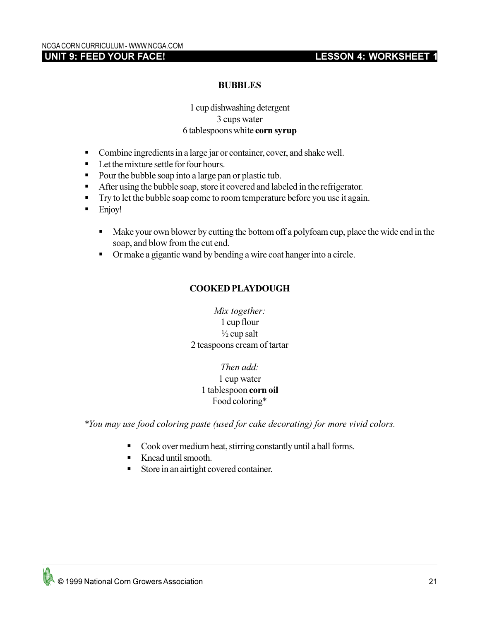## **LESSON 4: WORKSHEET 1**

#### **BUBBLES**

#### 1 cup dishwashing detergent 3 cups water 6 tablespoons white **corn syrup**

- Combine ingredients in a large jar or container, cover, and shake well.
- Let the mixture settle for four hours.
- Pour the bubble soap into a large pan or plastic tub.
- After using the bubble soap, store it covered and labeled in the refrigerator.
- **•** Try to let the bubble soap come to room temperature before you use it again.
- Enjoy!
	- Make your own blower by cutting the bottom off a polyfoam cup, place the wide end in the soap, and blow from the cut end.
	- § Or make a gigantic wand by bending a wire coat hanger into a circle.

### **COOKED PLAYDOUGH**

*Mix together:* 1 cup flour  $\frac{1}{2}$  cup salt 2 teaspoons cream of tartar

> *Then add:* 1 cup water 1 tablespoon **corn oil** Food coloring\*

*\*You may use food coloring paste (used for cake decorating) for more vivid colors.*

- Cook over medium heat, stirring constantly until a ball forms.
- § Knead until smooth.
- Store in an airtight covered container.